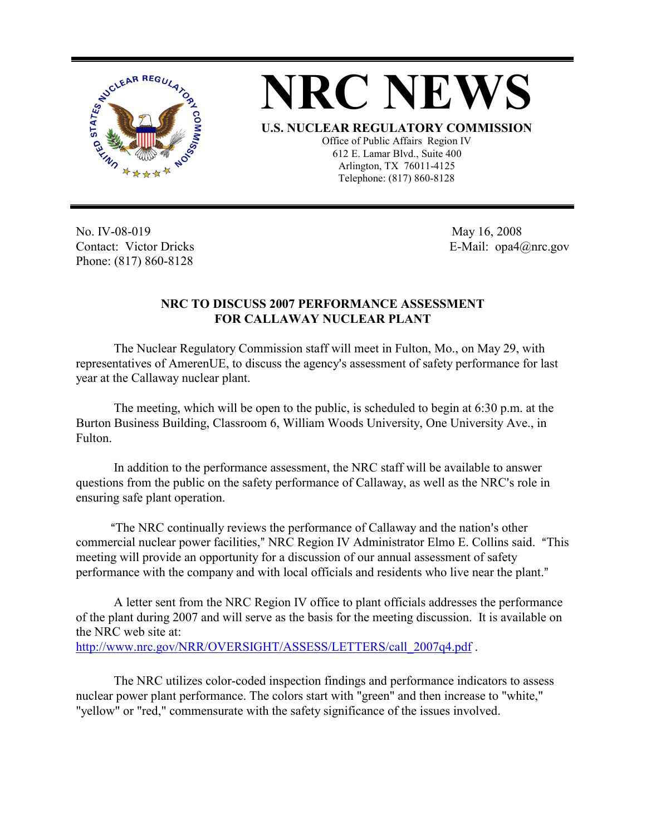



Office of Public Affairs Region IV 612 E. Lamar Blvd., Suite 400 Arlington, TX 76011-4125 Telephone: (817) 860-8128

No. IV-08-019 Contact: Victor Dricks Phone: (817) 860-8128

 May 16, 2008 E-Mail: opa4@nrc.gov

## **NRC TO DISCUSS 2007 PERFORMANCE ASSESSMENT FOR CALLAWAY NUCLEAR PLANT**

The Nuclear Regulatory Commission staff will meet in Fulton, Mo., on May 29, with representatives of AmerenUE, to discuss the agency's assessment of safety performance for last year at the Callaway nuclear plant.

The meeting, which will be open to the public, is scheduled to begin at 6:30 p.m. at the Burton Business Building, Classroom 6, William Woods University, One University Ave., in Fulton.

In addition to the performance assessment, the NRC staff will be available to answer questions from the public on the safety performance of Callaway, as well as the NRC's role in ensuring safe plant operation.

"The NRC continually reviews the performance of Callaway and the nation's other commercial nuclear power facilities," NRC Region IV Administrator Elmo E. Collins said. "This meeting will provide an opportunity for a discussion of our annual assessment of safety performance with the company and with local officials and residents who live near the plant."

A letter sent from the NRC Region IV office to plant officials addresses the performance of the plant during 2007 and will serve as the basis for the meeting discussion. It is available on the NRC web site at: http://www.nrc.gov/NRR/OVERSIGHT/ASSESS/LETTERS/call\_2007q4.pdf .

The NRC utilizes color-coded inspection findings and performance indicators to assess nuclear power plant performance. The colors start with "green" and then increase to "white," "yellow" or "red," commensurate with the safety significance of the issues involved.